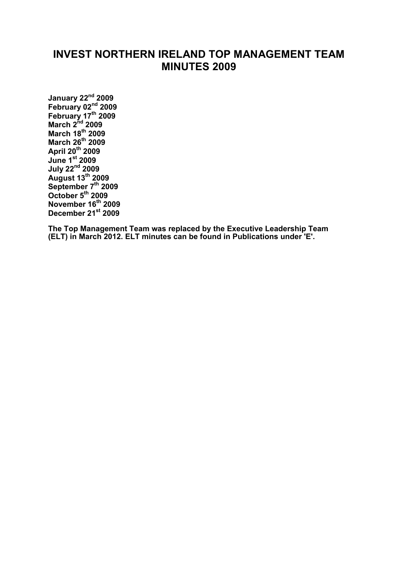# **INVEST NORTHERN IRELAND TOP MANAGEMENT TEAM MINUTES 2009**

**[January 22nd](#page-1-0) 2009 [February 02](#page-4-0)nd 2009 [February 17](#page-6-0)th 2009 [March 2](#page-8-0)nd 2009 [March 18th](#page-10-0) 2009 [March 26th](#page-12-0) 2009 [April 20](#page-14-0)th 2009 [June 1st](#page-17-0) 2009 [July 22nd](#page-20-0) 2009 [August 13th](#page-24-0) 2009 [September 7th](#page-27-0) 2009 [October 5th](#page-30-0) 2009 [November 16th](#page-36-0) 2009 [December 21st](#page-39-0) 2009**

**The Top Management Team was replaced by the Executive Leadership Team (ELT) in March 2012. ELT minutes can be found in Publications under 'E'.**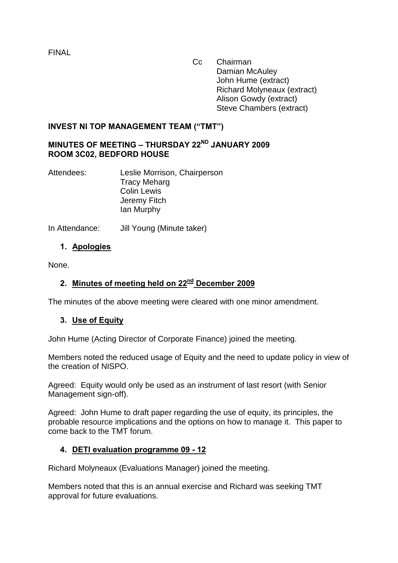<span id="page-1-0"></span>FINAL

 Cc Chairman Damian McAuley John Hume (extract) Richard Molyneaux (extract) Alison Gowdy (extract) Steve Chambers (extract)

### **INVEST NI TOP MANAGEMENT TEAM ("TMT")**

## **MINUTES OF MEETING – THURSDAY 22ND JANUARY 2009 ROOM 3C02, BEDFORD HOUSE**

Attendees: Leslie Morrison, Chairperson Tracy Meharg Colin Lewis Jeremy Fitch Ian Murphy

In Attendance: Jill Young (Minute taker)

### **1. Apologies**

None.

## **2. Minutes of meeting held on 22nd December 2009**

The minutes of the above meeting were cleared with one minor amendment.

### **3. Use of Equity**

John Hume (Acting Director of Corporate Finance) joined the meeting.

Members noted the reduced usage of Equity and the need to update policy in view of the creation of NISPO.

Agreed: Equity would only be used as an instrument of last resort (with Senior Management sign-off).

Agreed: John Hume to draft paper regarding the use of equity, its principles, the probable resource implications and the options on how to manage it. This paper to come back to the TMT forum.

### **4. DETI evaluation programme 09 - 12**

Richard Molyneaux (Evaluations Manager) joined the meeting.

Members noted that this is an annual exercise and Richard was seeking TMT approval for future evaluations.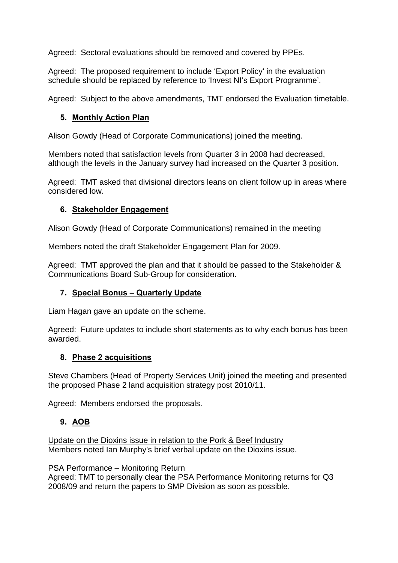Agreed: Sectoral evaluations should be removed and covered by PPEs.

Agreed: The proposed requirement to include 'Export Policy' in the evaluation schedule should be replaced by reference to 'Invest NI's Export Programme'.

Agreed: Subject to the above amendments, TMT endorsed the Evaluation timetable.

### **5. Monthly Action Plan**

Alison Gowdy (Head of Corporate Communications) joined the meeting.

Members noted that satisfaction levels from Quarter 3 in 2008 had decreased, although the levels in the January survey had increased on the Quarter 3 position.

Agreed: TMT asked that divisional directors leans on client follow up in areas where considered low.

# **6. Stakeholder Engagement**

Alison Gowdy (Head of Corporate Communications) remained in the meeting

Members noted the draft Stakeholder Engagement Plan for 2009.

Agreed: TMT approved the plan and that it should be passed to the Stakeholder & Communications Board Sub-Group for consideration.

# **7. Special Bonus – Quarterly Update**

Liam Hagan gave an update on the scheme.

Agreed: Future updates to include short statements as to why each bonus has been awarded.

### **8. Phase 2 acquisitions**

Steve Chambers (Head of Property Services Unit) joined the meeting and presented the proposed Phase 2 land acquisition strategy post 2010/11.

Agreed: Members endorsed the proposals.

# **9. AOB**

Update on the Dioxins issue in relation to the Pork & Beef Industry Members noted Ian Murphy's brief verbal update on the Dioxins issue.

#### PSA Performance – Monitoring Return

Agreed: TMT to personally clear the PSA Performance Monitoring returns for Q3 2008/09 and return the papers to SMP Division as soon as possible.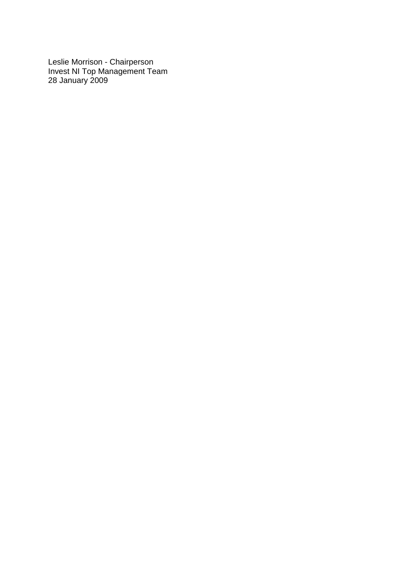Leslie Morrison - Chairperson Invest NI Top Management Team 28 January 2009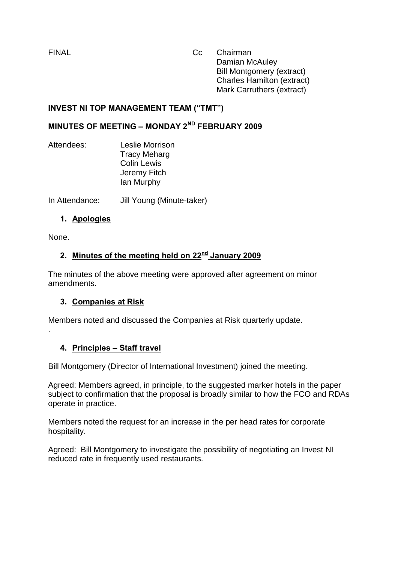<span id="page-4-0"></span>FINAL Cc Chairman Damian McAuley Bill Montgomery (extract) Charles Hamilton (extract) Mark Carruthers (extract)

### **INVEST NI TOP MANAGEMENT TEAM ("TMT")**

# **MINUTES OF MEETING – MONDAY 2ND FEBRUARY 2009**

Attendees: Leslie Morrison Tracy Meharg Colin Lewis Jeremy Fitch Ian Murphy

In Attendance: Jill Young (Minute-taker)

### **1. Apologies**

None.

.

# **2. Minutes of the meeting held on 22nd January 2009**

The minutes of the above meeting were approved after agreement on minor amendments.

### **3. Companies at Risk**

Members noted and discussed the Companies at Risk quarterly update.

### **4. Principles – Staff travel**

Bill Montgomery (Director of International Investment) joined the meeting.

Agreed: Members agreed, in principle, to the suggested marker hotels in the paper subject to confirmation that the proposal is broadly similar to how the FCO and RDAs operate in practice.

Members noted the request for an increase in the per head rates for corporate hospitality.

Agreed: Bill Montgomery to investigate the possibility of negotiating an Invest NI reduced rate in frequently used restaurants.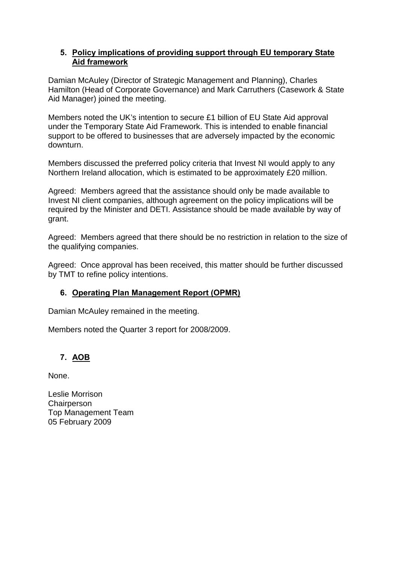#### **5. Policy implications of providing support through EU temporary State Aid framework**

Damian McAuley (Director of Strategic Management and Planning), Charles Hamilton (Head of Corporate Governance) and Mark Carruthers (Casework & State Aid Manager) joined the meeting.

Members noted the UK's intention to secure £1 billion of EU State Aid approval under the Temporary State Aid Framework. This is intended to enable financial support to be offered to businesses that are adversely impacted by the economic downturn.

Members discussed the preferred policy criteria that Invest NI would apply to any Northern Ireland allocation, which is estimated to be approximately £20 million.

Agreed: Members agreed that the assistance should only be made available to Invest NI client companies, although agreement on the policy implications will be required by the Minister and DETI. Assistance should be made available by way of grant.

Agreed: Members agreed that there should be no restriction in relation to the size of the qualifying companies.

Agreed: Once approval has been received, this matter should be further discussed by TMT to refine policy intentions.

# **6. Operating Plan Management Report (OPMR)**

Damian McAuley remained in the meeting.

Members noted the Quarter 3 report for 2008/2009.

# **7. AOB**

None.

Leslie Morrison **Chairperson** Top Management Team 05 February 2009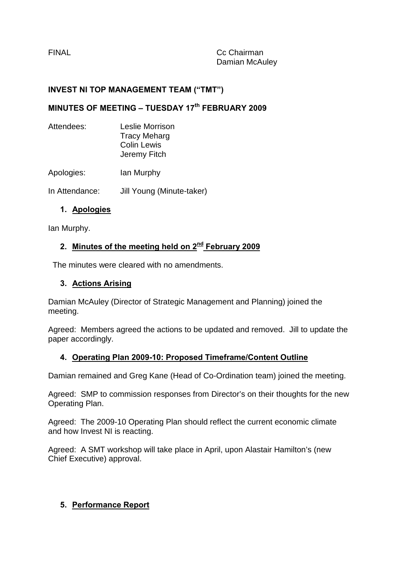<span id="page-6-0"></span>

### **INVEST NI TOP MANAGEMENT TEAM ("TMT")**

# **MINUTES OF MEETING – TUESDAY 17th FEBRUARY 2009**

| Attendees: | Leslie Morrison<br><b>Tracy Meharg</b><br><b>Colin Lewis</b><br>Jeremy Fitch |
|------------|------------------------------------------------------------------------------|
| Apologies: | lan Murphy                                                                   |

In Attendance: Jill Young (Minute-taker)

### **1. Apologies**

Ian Murphy.

### **2. Minutes of the meeting held on 2nd February 2009**

The minutes were cleared with no amendments.

### **3. Actions Arising**

Damian McAuley (Director of Strategic Management and Planning) joined the meeting.

Agreed: Members agreed the actions to be updated and removed. Jill to update the paper accordingly.

### **4. Operating Plan 2009-10: Proposed Timeframe/Content Outline**

Damian remained and Greg Kane (Head of Co-Ordination team) joined the meeting.

Agreed: SMP to commission responses from Director's on their thoughts for the new Operating Plan.

Agreed: The 2009-10 Operating Plan should reflect the current economic climate and how Invest NI is reacting.

Agreed: A SMT workshop will take place in April, upon Alastair Hamilton's (new Chief Executive) approval.

### **5. Performance Report**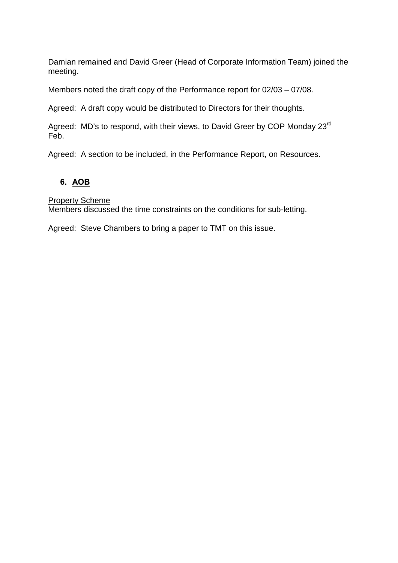Damian remained and David Greer (Head of Corporate Information Team) joined the meeting.

Members noted the draft copy of the Performance report for 02/03 – 07/08.

Agreed: A draft copy would be distributed to Directors for their thoughts.

Agreed: MD's to respond, with their views, to David Greer by COP Monday 23<sup>rd</sup> Feb.

Agreed: A section to be included, in the Performance Report, on Resources.

### **6. AOB**

Property Scheme

Members discussed the time constraints on the conditions for sub-letting.

Agreed: Steve Chambers to bring a paper to TMT on this issue.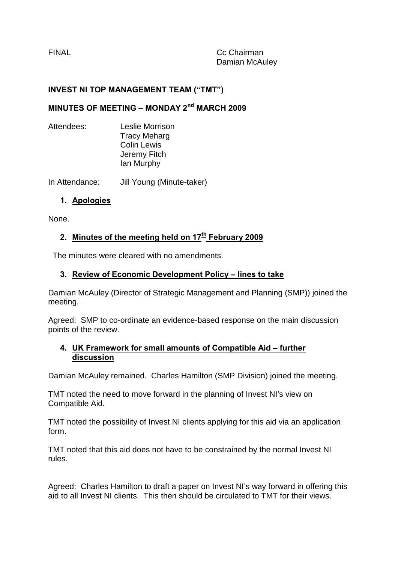<span id="page-8-0"></span>FINAL Cc Chairman Damian McAuley

#### **INVEST NI TOP MANAGEMENT TEAM ("TMT")**

### **MINUTES OF MEETING – MONDAY 2nd MARCH 2009**

Attendees: Leslie Morrison Tracy Meharg Colin Lewis Jeremy Fitch Ian Murphy

In Attendance: Jill Young (Minute-taker)

#### **1. Apologies**

None.

#### **2. Minutes of the meeting held on 17<sup>th</sup> February 2009**

The minutes were cleared with no amendments.

#### **3. Review of Economic Development Policy – lines to take**

Damian McAuley (Director of Strategic Management and Planning (SMP)) joined the meeting.

Agreed: SMP to co-ordinate an evidence-based response on the main discussion points of the review.

#### **4. UK Framework for small amounts of Compatible Aid – further discussion**

Damian McAuley remained. Charles Hamilton (SMP Division) joined the meeting.

TMT noted the need to move forward in the planning of Invest NI's view on Compatible Aid.

TMT noted the possibility of Invest NI clients applying for this aid via an application form.

TMT noted that this aid does not have to be constrained by the normal Invest NI rules.

Agreed: Charles Hamilton to draft a paper on Invest NI's way forward in offering this aid to all Invest NI clients. This then should be circulated to TMT for their views.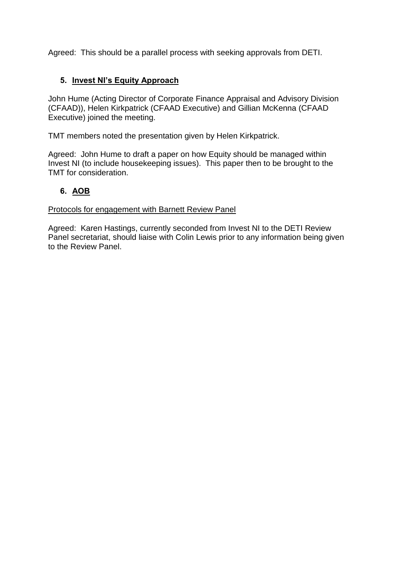Agreed: This should be a parallel process with seeking approvals from DETI.

## **5. Invest NI's Equity Approach**

John Hume (Acting Director of Corporate Finance Appraisal and Advisory Division (CFAAD)), Helen Kirkpatrick (CFAAD Executive) and Gillian McKenna (CFAAD Executive) joined the meeting.

TMT members noted the presentation given by Helen Kirkpatrick.

Agreed: John Hume to draft a paper on how Equity should be managed within Invest NI (to include housekeeping issues). This paper then to be brought to the TMT for consideration.

### **6. AOB**

Protocols for engagement with Barnett Review Panel

Agreed: Karen Hastings, currently seconded from Invest NI to the DETI Review Panel secretariat, should liaise with Colin Lewis prior to any information being given to the Review Panel.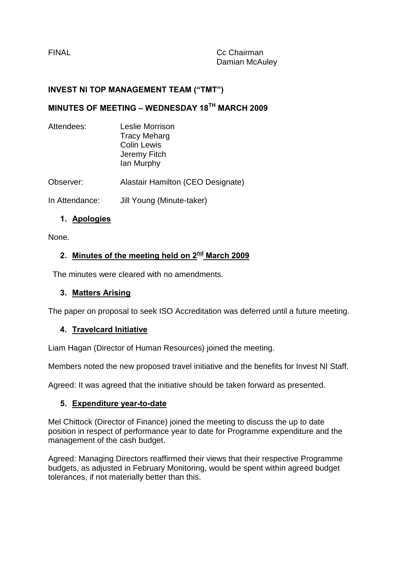<span id="page-10-0"></span>

### **INVEST NI TOP MANAGEMENT TEAM ("TMT")**

# **MINUTES OF MEETING – WEDNESDAY 18TH MARCH 2009**

| Attendees:     | Leslie Morrison<br><b>Tracy Meharg</b><br><b>Colin Lewis</b><br>Jeremy Fitch<br>lan Murphy |
|----------------|--------------------------------------------------------------------------------------------|
| Observer:      | Alastair Hamilton (CEO Designate)                                                          |
| In Attendance: | Jill Young (Minute-taker)                                                                  |

### **1. Apologies**

None.

# **2. Minutes of the meeting held on 2nd March 2009**

The minutes were cleared with no amendments.

### **3. Matters Arising**

The paper on proposal to seek ISO Accreditation was deferred until a future meeting.

#### **4. Travelcard Initiative**

Liam Hagan (Director of Human Resources) joined the meeting.

Members noted the new proposed travel initiative and the benefits for Invest NI Staff.

Agreed: It was agreed that the initiative should be taken forward as presented.

### **5. Expenditure year-to-date**

Mel Chittock (Director of Finance) joined the meeting to discuss the up to date position in respect of performance year to date for Programme expenditure and the management of the cash budget.

Agreed: Managing Directors reaffirmed their views that their respective Programme budgets, as adjusted in February Monitoring, would be spent within agreed budget tolerances, if not materially better than this.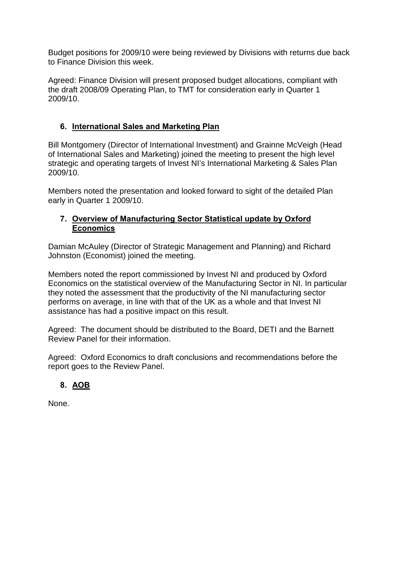Budget positions for 2009/10 were being reviewed by Divisions with returns due back to Finance Division this week.

Agreed: Finance Division will present proposed budget allocations, compliant with the draft 2008/09 Operating Plan, to TMT for consideration early in Quarter 1 2009/10.

### **6. International Sales and Marketing Plan**

Bill Montgomery (Director of International Investment) and Grainne McVeigh (Head of International Sales and Marketing) joined the meeting to present the high level strategic and operating targets of Invest NI's International Marketing & Sales Plan 2009/10.

Members noted the presentation and looked forward to sight of the detailed Plan early in Quarter 1 2009/10.

### **7. Overview of Manufacturing Sector Statistical update by Oxford Economics**

Damian McAuley (Director of Strategic Management and Planning) and Richard Johnston (Economist) joined the meeting.

Members noted the report commissioned by Invest NI and produced by Oxford Economics on the statistical overview of the Manufacturing Sector in NI. In particular they noted the assessment that the productivity of the NI manufacturing sector performs on average, in line with that of the UK as a whole and that Invest NI assistance has had a positive impact on this result.

Agreed: The document should be distributed to the Board, DETI and the Barnett Review Panel for their information.

Agreed: Oxford Economics to draft conclusions and recommendations before the report goes to the Review Panel.

# **8. AOB**

None.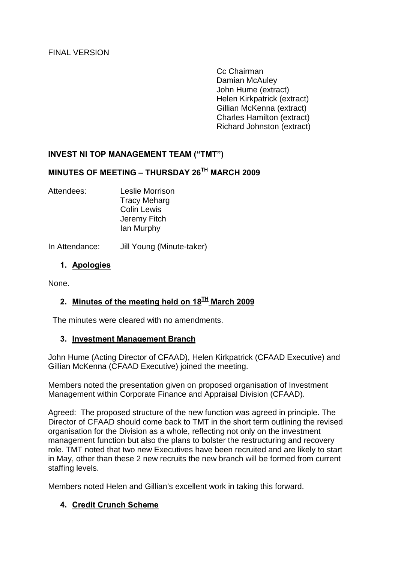Cc Chairman Damian McAuley John Hume (extract) Helen Kirkpatrick (extract) Gillian McKenna (extract) Charles Hamilton (extract) Richard Johnston (extract)

### <span id="page-12-0"></span>**INVEST NI TOP MANAGEMENT TEAM ("TMT")**

### **MINUTES OF MEETING – THURSDAY 26TH MARCH 2009**

Attendees: Leslie Morrison Tracy Meharg Colin Lewis Jeremy Fitch Ian Murphy

In Attendance: Jill Young (Minute-taker)

#### **1. Apologies**

None.

# **2. Minutes of the meeting held on 18TH March 2009**

The minutes were cleared with no amendments.

#### **3. Investment Management Branch**

John Hume (Acting Director of CFAAD), Helen Kirkpatrick (CFAAD Executive) and Gillian McKenna (CFAAD Executive) joined the meeting.

Members noted the presentation given on proposed organisation of Investment Management within Corporate Finance and Appraisal Division (CFAAD).

Agreed: The proposed structure of the new function was agreed in principle. The Director of CFAAD should come back to TMT in the short term outlining the revised organisation for the Division as a whole, reflecting not only on the investment management function but also the plans to bolster the restructuring and recovery role. TMT noted that two new Executives have been recruited and are likely to start in May, other than these 2 new recruits the new branch will be formed from current staffing levels.

Members noted Helen and Gillian's excellent work in taking this forward.

#### **4. Credit Crunch Scheme**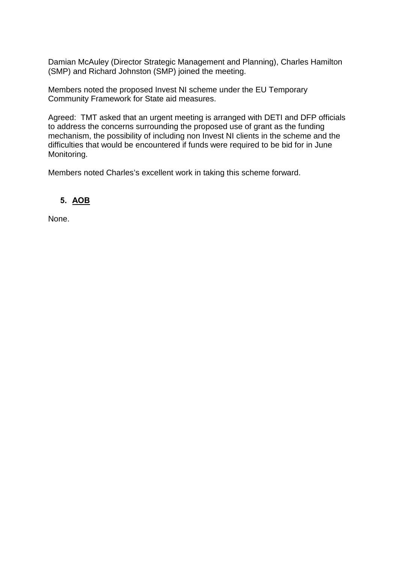Damian McAuley (Director Strategic Management and Planning), Charles Hamilton (SMP) and Richard Johnston (SMP) joined the meeting.

Members noted the proposed Invest NI scheme under the EU Temporary Community Framework for State aid measures.

Agreed: TMT asked that an urgent meeting is arranged with DETI and DFP officials to address the concerns surrounding the proposed use of grant as the funding mechanism, the possibility of including non Invest NI clients in the scheme and the difficulties that would be encountered if funds were required to be bid for in June Monitoring.

Members noted Charles's excellent work in taking this scheme forward.

# **5. AOB**

None.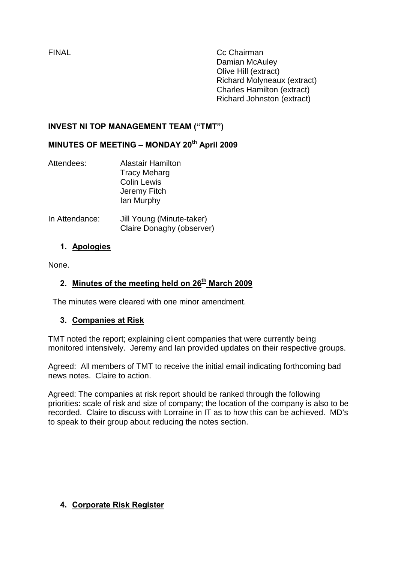<span id="page-14-0"></span>FINAL Cc Chairman Damian McAuley Olive Hill (extract) Richard Molyneaux (extract) Charles Hamilton (extract) Richard Johnston (extract)

## **INVEST NI TOP MANAGEMENT TEAM ("TMT")**

# **MINUTES OF MEETING – MONDAY 20th April 2009**

| Attendees: | <b>Alastair Hamilton</b> |
|------------|--------------------------|
|            | <b>Tracy Meharg</b>      |
|            | <b>Colin Lewis</b>       |
|            | Jeremy Fitch             |
|            | lan Murphy               |
|            |                          |

In Attendance: Jill Young (Minute-taker) Claire Donaghy (observer)

### **1. Apologies**

None.

## **2.** Minutes of the meeting held on 26<sup>th</sup> March 2009

The minutes were cleared with one minor amendment.

### **3. Companies at Risk**

TMT noted the report; explaining client companies that were currently being monitored intensively. Jeremy and Ian provided updates on their respective groups.

Agreed: All members of TMT to receive the initial email indicating forthcoming bad news notes. Claire to action.

Agreed: The companies at risk report should be ranked through the following priorities: scale of risk and size of company; the location of the company is also to be recorded. Claire to discuss with Lorraine in IT as to how this can be achieved. MD's to speak to their group about reducing the notes section.

### **4. Corporate Risk Register**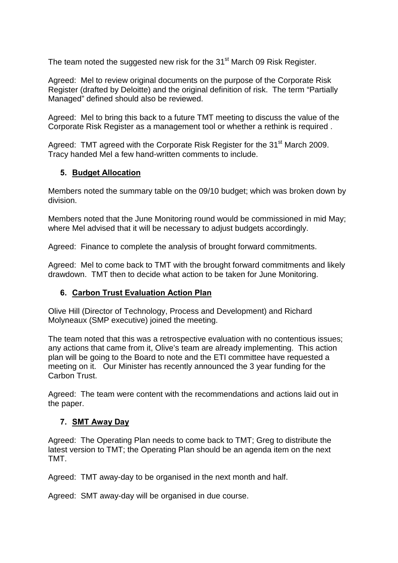The team noted the suggested new risk for the 31<sup>st</sup> March 09 Risk Register.

Agreed: Mel to review original documents on the purpose of the Corporate Risk Register (drafted by Deloitte) and the original definition of risk. The term "Partially Managed" defined should also be reviewed.

Agreed: Mel to bring this back to a future TMT meeting to discuss the value of the Corporate Risk Register as a management tool or whether a rethink is required .

Agreed: TMT agreed with the Corporate Risk Register for the 31<sup>st</sup> March 2009. Tracy handed Mel a few hand-written comments to include.

### **5. Budget Allocation**

Members noted the summary table on the 09/10 budget; which was broken down by division.

Members noted that the June Monitoring round would be commissioned in mid May; where Mel advised that it will be necessary to adjust budgets accordingly.

Agreed: Finance to complete the analysis of brought forward commitments.

Agreed: Mel to come back to TMT with the brought forward commitments and likely drawdown. TMT then to decide what action to be taken for June Monitoring.

### **6. Carbon Trust Evaluation Action Plan**

Olive Hill (Director of Technology, Process and Development) and Richard Molyneaux (SMP executive) joined the meeting.

The team noted that this was a retrospective evaluation with no contentious issues; any actions that came from it, Olive's team are already implementing. This action plan will be going to the Board to note and the ETI committee have requested a meeting on it. Our Minister has recently announced the 3 year funding for the Carbon Trust.

Agreed: The team were content with the recommendations and actions laid out in the paper.

### **7. SMT Away Day**

Agreed: The Operating Plan needs to come back to TMT; Greg to distribute the latest version to TMT; the Operating Plan should be an agenda item on the next TMT.

Agreed: TMT away-day to be organised in the next month and half.

Agreed: SMT away-day will be organised in due course.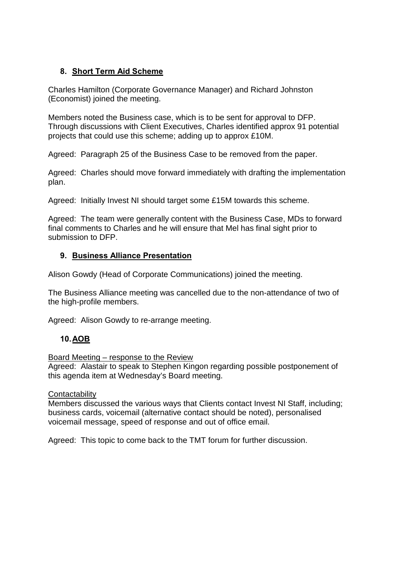### **8. Short Term Aid Scheme**

Charles Hamilton (Corporate Governance Manager) and Richard Johnston (Economist) joined the meeting.

Members noted the Business case, which is to be sent for approval to DFP. Through discussions with Client Executives, Charles identified approx 91 potential projects that could use this scheme; adding up to approx £10M.

Agreed: Paragraph 25 of the Business Case to be removed from the paper.

Agreed: Charles should move forward immediately with drafting the implementation plan.

Agreed: Initially Invest NI should target some £15M towards this scheme.

Agreed: The team were generally content with the Business Case, MDs to forward final comments to Charles and he will ensure that Mel has final sight prior to submission to DFP.

#### **9. Business Alliance Presentation**

Alison Gowdy (Head of Corporate Communications) joined the meeting.

The Business Alliance meeting was cancelled due to the non-attendance of two of the high-profile members.

Agreed: Alison Gowdy to re-arrange meeting.

### **10.AOB**

Board Meeting – response to the Review

Agreed: Alastair to speak to Stephen Kingon regarding possible postponement of this agenda item at Wednesday's Board meeting.

#### **Contactability**

Members discussed the various ways that Clients contact Invest NI Staff, including; business cards, voicemail (alternative contact should be noted), personalised voicemail message, speed of response and out of office email.

Agreed: This topic to come back to the TMT forum for further discussion.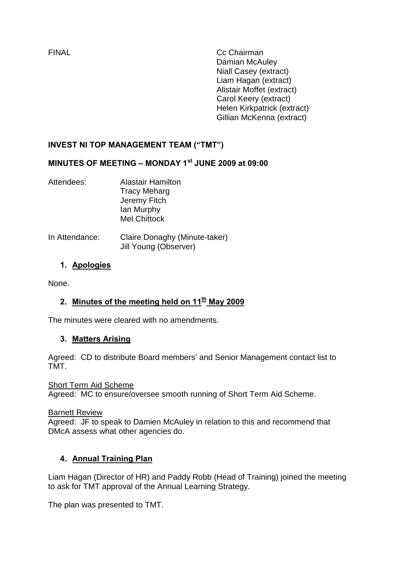<span id="page-17-0"></span>FINAL Cc Chairman Damian McAuley Niall Casey (extract) Liam Hagan (extract) Alistair Moffet (extract) Carol Keery (extract) Helen Kirkpatrick (extract) Gillian McKenna (extract)

# **INVEST NI TOP MANAGEMENT TEAM ("TMT")**

# **MINUTES OF MEETING – MONDAY 1st JUNE 2009 at 09:00**

- Attendees: Alastair Hamilton Tracy Meharg Jeremy Fitch Ian Murphy Mel Chittock
- In Attendance: Claire Donaghy (Minute-taker) Jill Young (Observer)

### **1. Apologies**

None.

# **2. Minutes of the meeting held on 11th May 2009**

The minutes were cleared with no amendments.

### **3. Matters Arising**

Agreed: CD to distribute Board members' and Senior Management contact list to TMT.

Short Term Aid Scheme Agreed: MC to ensure/oversee smooth running of Short Term Aid Scheme.

**Barnett Review** 

Agreed: JF to speak to Damien McAuley in relation to this and recommend that DMcA assess what other agencies do.

### **4. Annual Training Plan**

Liam Hagan (Director of HR) and Paddy Robb (Head of Training) joined the meeting to ask for TMT approval of the Annual Learning Strategy.

The plan was presented to TMT.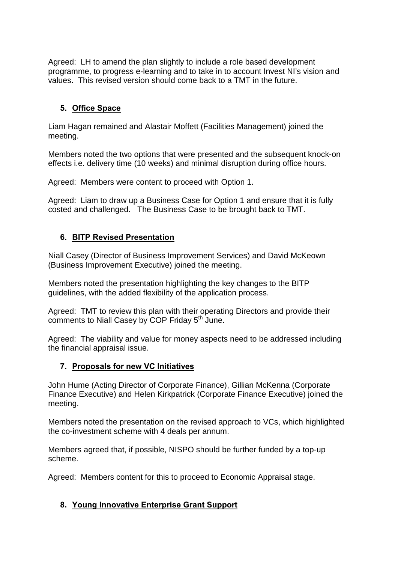Agreed: LH to amend the plan slightly to include a role based development programme, to progress e-learning and to take in to account Invest NI's vision and values. This revised version should come back to a TMT in the future.

# **5. Office Space**

Liam Hagan remained and Alastair Moffett (Facilities Management) joined the meeting.

Members noted the two options that were presented and the subsequent knock-on effects i.e. delivery time (10 weeks) and minimal disruption during office hours.

Agreed: Members were content to proceed with Option 1.

Agreed: Liam to draw up a Business Case for Option 1 and ensure that it is fully costed and challenged. The Business Case to be brought back to TMT.

### **6. BITP Revised Presentation**

Niall Casey (Director of Business Improvement Services) and David McKeown (Business Improvement Executive) joined the meeting.

Members noted the presentation highlighting the key changes to the BITP guidelines, with the added flexibility of the application process.

Agreed: TMT to review this plan with their operating Directors and provide their comments to Niall Casey by COP Friday 5<sup>th</sup> June.

Agreed: The viability and value for money aspects need to be addressed including the financial appraisal issue.

### **7. Proposals for new VC Initiatives**

John Hume (Acting Director of Corporate Finance), Gillian McKenna (Corporate Finance Executive) and Helen Kirkpatrick (Corporate Finance Executive) joined the meeting.

Members noted the presentation on the revised approach to VCs, which highlighted the co-investment scheme with 4 deals per annum.

Members agreed that, if possible, NISPO should be further funded by a top-up scheme.

Agreed: Members content for this to proceed to Economic Appraisal stage.

### **8. Young Innovative Enterprise Grant Support**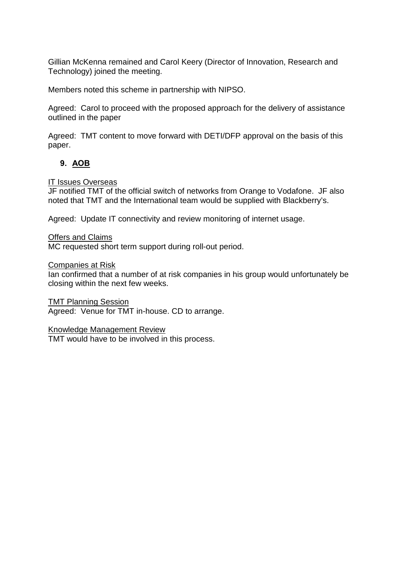Gillian McKenna remained and Carol Keery (Director of Innovation, Research and Technology) joined the meeting.

Members noted this scheme in partnership with NIPSO.

Agreed: Carol to proceed with the proposed approach for the delivery of assistance outlined in the paper

Agreed: TMT content to move forward with DETI/DFP approval on the basis of this paper.

### **9. AOB**

#### IT Issues Overseas

JF notified TMT of the official switch of networks from Orange to Vodafone. JF also noted that TMT and the International team would be supplied with Blackberry's.

Agreed: Update IT connectivity and review monitoring of internet usage.

#### Offers and Claims

MC requested short term support during roll-out period.

#### Companies at Risk

Ian confirmed that a number of at risk companies in his group would unfortunately be closing within the next few weeks.

TMT Planning Session

Agreed: Venue for TMT in-house. CD to arrange.

#### Knowledge Management Review

TMT would have to be involved in this process.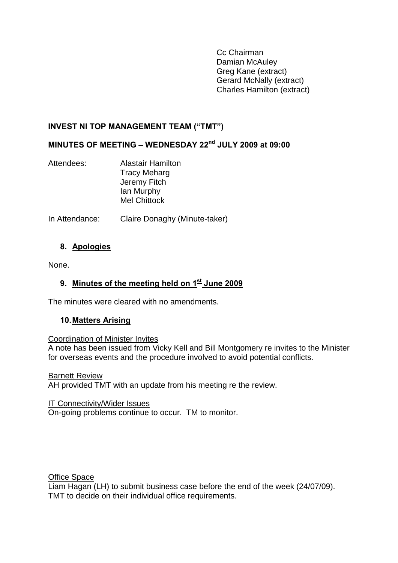Cc Chairman Damian McAuley Greg Kane (extract) Gerard McNally (extract) Charles Hamilton (extract)

### <span id="page-20-0"></span>**INVEST NI TOP MANAGEMENT TEAM ("TMT")**

# **MINUTES OF MEETING – WEDNESDAY 22nd JULY 2009 at 09:00**

| Attendees: | <b>Alastair Hamilton</b> |
|------------|--------------------------|
|            | <b>Tracy Meharg</b>      |
|            | Jeremy Fitch             |
|            | lan Murphy               |
|            | <b>Mel Chittock</b>      |

In Attendance: Claire Donaghy (Minute-taker)

### **8. Apologies**

None.

## **9. Minutes of the meeting held on 1st June 2009**

The minutes were cleared with no amendments.

### **10.Matters Arising**

#### Coordination of Minister Invites

A note has been issued from Vicky Kell and Bill Montgomery re invites to the Minister for overseas events and the procedure involved to avoid potential conflicts.

#### Barnett Review

AH provided TMT with an update from his meeting re the review.

#### IT Connectivity/Wider Issues

On-going problems continue to occur. TM to monitor.

**Office Space** 

Liam Hagan (LH) to submit business case before the end of the week (24/07/09). TMT to decide on their individual office requirements.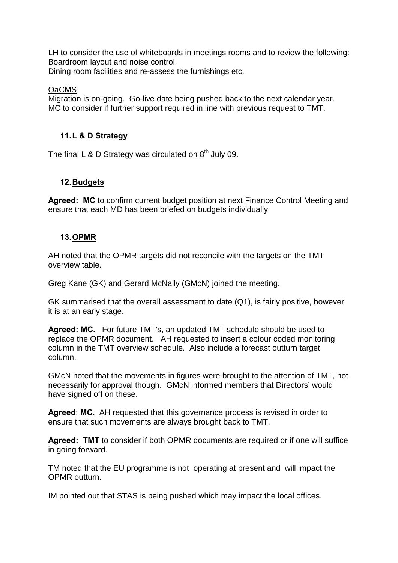LH to consider the use of whiteboards in meetings rooms and to review the following: Boardroom layout and noise control.

Dining room facilities and re-assess the furnishings etc.

### OaCMS

Migration is on-going. Go-live date being pushed back to the next calendar year. MC to consider if further support required in line with previous request to TMT.

## **11.L & D Strategy**

The final L & D Strategy was circulated on  $8<sup>th</sup>$  July 09.

### **12.Budgets**

**Agreed: MC** to confirm current budget position at next Finance Control Meeting and ensure that each MD has been briefed on budgets individually.

### **13.OPMR**

AH noted that the OPMR targets did not reconcile with the targets on the TMT overview table.

Greg Kane (GK) and Gerard McNally (GMcN) joined the meeting.

GK summarised that the overall assessment to date (Q1), is fairly positive, however it is at an early stage.

**Agreed: MC.** For future TMT's, an updated TMT schedule should be used to replace the OPMR document. AH requested to insert a colour coded monitoring column in the TMT overview schedule. Also include a forecast outturn target column.

GMcN noted that the movements in figures were brought to the attention of TMT, not necessarily for approval though. GMcN informed members that Directors' would have signed off on these.

**Agreed**: **MC.** AH requested that this governance process is revised in order to ensure that such movements are always brought back to TMT.

**Agreed: TMT** to consider if both OPMR documents are required or if one will suffice in going forward.

TM noted that the EU programme is not operating at present and will impact the OPMR outturn.

IM pointed out that STAS is being pushed which may impact the local offices.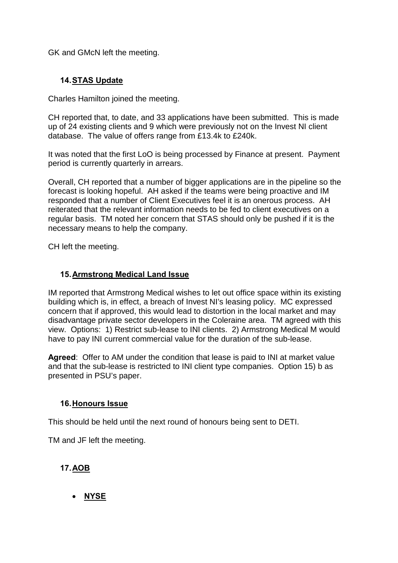GK and GMcN left the meeting.

### **14.STAS Update**

Charles Hamilton joined the meeting.

CH reported that, to date, and 33 applications have been submitted. This is made up of 24 existing clients and 9 which were previously not on the Invest NI client database. The value of offers range from £13.4k to £240k.

It was noted that the first LoO is being processed by Finance at present. Payment period is currently quarterly in arrears.

Overall, CH reported that a number of bigger applications are in the pipeline so the forecast is looking hopeful. AH asked if the teams were being proactive and IM responded that a number of Client Executives feel it is an onerous process. AH reiterated that the relevant information needs to be fed to client executives on a regular basis. TM noted her concern that STAS should only be pushed if it is the necessary means to help the company.

CH left the meeting.

#### **15.Armstrong Medical Land Issue**

IM reported that Armstrong Medical wishes to let out office space within its existing building which is, in effect, a breach of Invest NI's leasing policy. MC expressed concern that if approved, this would lead to distortion in the local market and may disadvantage private sector developers in the Coleraine area. TM agreed with this view. Options: 1) Restrict sub-lease to INI clients. 2) Armstrong Medical M would have to pay INI current commercial value for the duration of the sub-lease.

**Agreed**: Offer to AM under the condition that lease is paid to INI at market value and that the sub-lease is restricted to INI client type companies. Option 15) b as presented in PSU's paper.

### **16.Honours Issue**

This should be held until the next round of honours being sent to DETI.

TM and JF left the meeting.

### **17.AOB**

• **NYSE**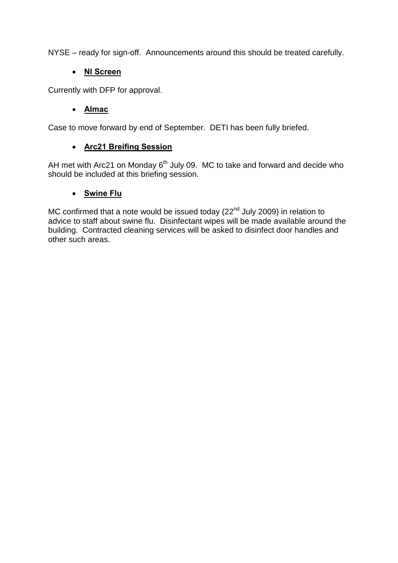NYSE – ready for sign-off. Announcements around this should be treated carefully.

## • **NI Screen**

Currently with DFP for approval.

## • **Almac**

Case to move forward by end of September. DETI has been fully briefed.

# • **Arc21 Breifing Session**

AH met with Arc21 on Monday  $6<sup>th</sup>$  July 09. MC to take and forward and decide who should be included at this briefing session.

### • **Swine Flu**

MC confirmed that a note would be issued today ( $22<sup>nd</sup>$  July 2009) in relation to advice to staff about swine flu. Disinfectant wipes will be made available around the building. Contracted cleaning services will be asked to disinfect door handles and other such areas.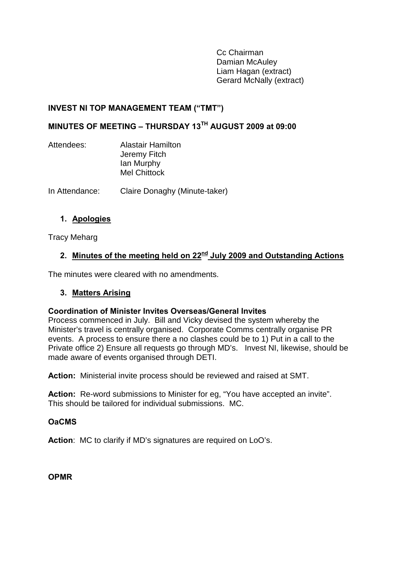Cc Chairman Damian McAuley Liam Hagan (extract) Gerard McNally (extract)

### <span id="page-24-0"></span>**INVEST NI TOP MANAGEMENT TEAM ("TMT")**

### **MINUTES OF MEETING – THURSDAY 13TH AUGUST 2009 at 09:00**

| Attendees: | <b>Alastair Hamilton</b> |  |
|------------|--------------------------|--|
|            | Jeremy Fitch             |  |
|            | lan Murphy               |  |
|            | <b>Mel Chittock</b>      |  |
|            |                          |  |

In Attendance: Claire Donaghy (Minute-taker)

#### **1. Apologies**

Tracy Meharg

# **2. Minutes of the meeting held on 22nd July 2009 and Outstanding Actions**

The minutes were cleared with no amendments.

#### **3. Matters Arising**

#### **Coordination of Minister Invites Overseas/General Invites**

Process commenced in July. Bill and Vicky devised the system whereby the Minister's travel is centrally organised. Corporate Comms centrally organise PR events. A process to ensure there a no clashes could be to 1) Put in a call to the Private office 2) Ensure all requests go through MD's. Invest NI, likewise, should be made aware of events organised through DETI.

**Action:** Ministerial invite process should be reviewed and raised at SMT.

**Action:** Re-word submissions to Minister for eg, "You have accepted an invite". This should be tailored for individual submissions. MC.

#### **OaCMS**

**Action**: MC to clarify if MD's signatures are required on LoO's.

**OPMR**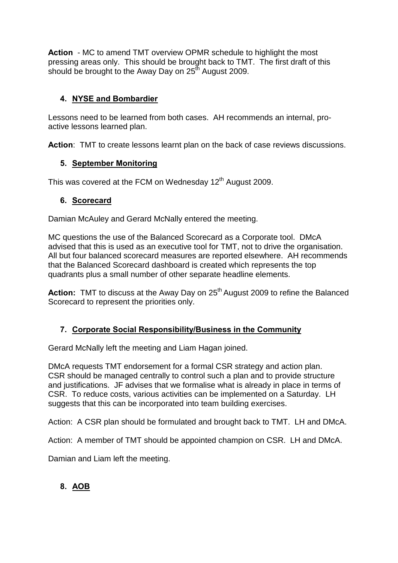**Action** - MC to amend TMT overview OPMR schedule to highlight the most pressing areas only. This should be brought back to TMT. The first draft of this should be brought to the Away Day on  $25<sup>th</sup>$  August 2009.

## **4. NYSE and Bombardier**

Lessons need to be learned from both cases. AH recommends an internal, proactive lessons learned plan.

**Action**: TMT to create lessons learnt plan on the back of case reviews discussions.

### **5. September Monitoring**

This was covered at the FCM on Wednesday 12<sup>th</sup> August 2009.

### **6. Scorecard**

Damian McAuley and Gerard McNally entered the meeting.

MC questions the use of the Balanced Scorecard as a Corporate tool. DMcA advised that this is used as an executive tool for TMT, not to drive the organisation. All but four balanced scorecard measures are reported elsewhere. AH recommends that the Balanced Scorecard dashboard is created which represents the top quadrants plus a small number of other separate headline elements.

**Action:** TMT to discuss at the Away Day on 25<sup>th</sup> August 2009 to refine the Balanced Scorecard to represent the priorities only.

# **7. Corporate Social Responsibility/Business in the Community**

Gerard McNally left the meeting and Liam Hagan joined.

DMcA requests TMT endorsement for a formal CSR strategy and action plan. CSR should be managed centrally to control such a plan and to provide structure and justifications. JF advises that we formalise what is already in place in terms of CSR. To reduce costs, various activities can be implemented on a Saturday. LH suggests that this can be incorporated into team building exercises.

Action: A CSR plan should be formulated and brought back to TMT. LH and DMcA.

Action: A member of TMT should be appointed champion on CSR. LH and DMcA.

Damian and Liam left the meeting.

# **8. AOB**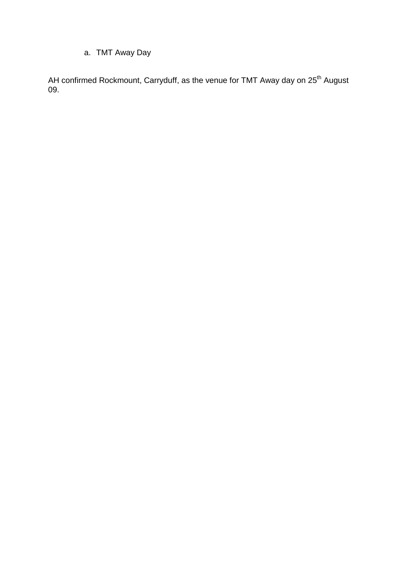# a. TMT Away Day

AH confirmed Rockmount, Carryduff, as the venue for TMT Away day on 25<sup>th</sup> August 09.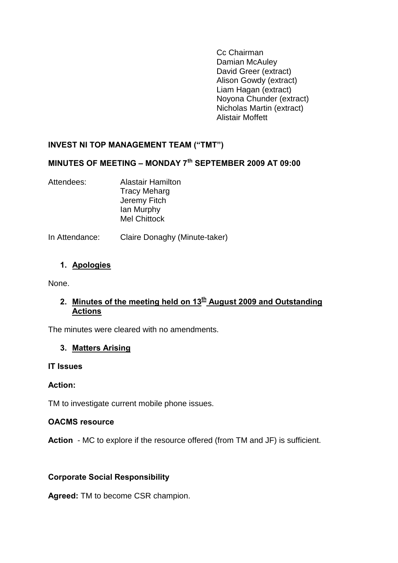Cc Chairman Damian McAuley David Greer (extract) Alison Gowdy (extract) Liam Hagan (extract) Noyona Chunder (extract) Nicholas Martin (extract) Alistair Moffett

### <span id="page-27-0"></span>**INVEST NI TOP MANAGEMENT TEAM ("TMT")**

# **MINUTES OF MEETING – MONDAY 7th SEPTEMBER 2009 AT 09:00**

Attendees: Alastair Hamilton Tracy Meharg Jeremy Fitch Ian Murphy Mel Chittock

In Attendance: Claire Donaghy (Minute-taker)

### **1. Apologies**

None.

### 2. Minutes of the meeting held on 13<sup>th</sup> August 2009 and Outstanding **Actions**

The minutes were cleared with no amendments.

### **3. Matters Arising**

#### **IT Issues**

### **Action:**

TM to investigate current mobile phone issues.

#### **OACMS resource**

**Action** - MC to explore if the resource offered (from TM and JF) is sufficient.

### **Corporate Social Responsibility**

**Agreed:** TM to become CSR champion.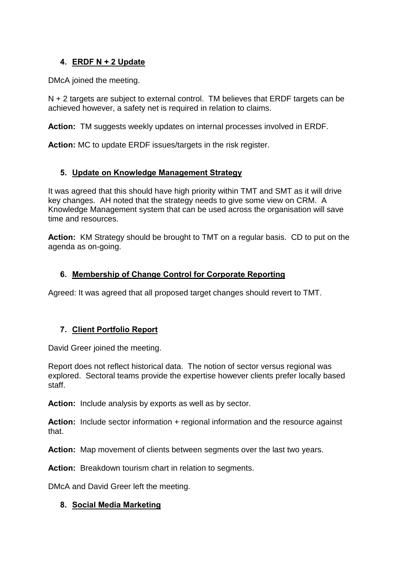## **4. ERDF N + 2 Update**

DMcA joined the meeting.

N + 2 targets are subject to external control. TM believes that ERDF targets can be achieved however, a safety net is required in relation to claims.

**Action:** TM suggests weekly updates on internal processes involved in ERDF.

**Action:** MC to update ERDF issues/targets in the risk register.

### **5. Update on Knowledge Management Strategy**

It was agreed that this should have high priority within TMT and SMT as it will drive key changes. AH noted that the strategy needs to give some view on CRM. A Knowledge Management system that can be used across the organisation will save time and resources.

**Action:** KM Strategy should be brought to TMT on a regular basis. CD to put on the agenda as on-going.

### **6. Membership of Change Control for Corporate Reporting**

Agreed: It was agreed that all proposed target changes should revert to TMT.

### **7. Client Portfolio Report**

David Greer joined the meeting.

Report does not reflect historical data. The notion of sector versus regional was explored. Sectoral teams provide the expertise however clients prefer locally based staff.

**Action:** Include analysis by exports as well as by sector.

**Action:** Include sector information + regional information and the resource against that.

**Action:** Map movement of clients between segments over the last two years.

**Action:** Breakdown tourism chart in relation to segments.

DMcA and David Greer left the meeting.

#### **8. Social Media Marketing**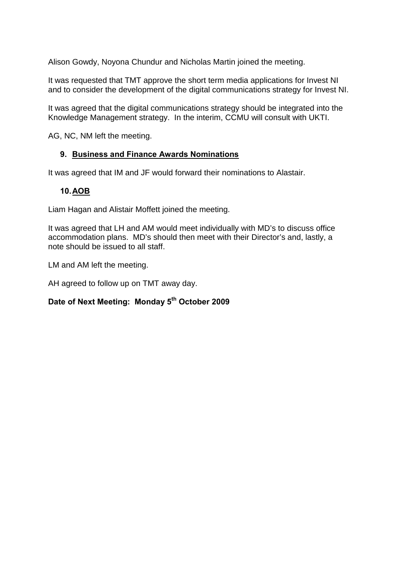Alison Gowdy, Noyona Chundur and Nicholas Martin joined the meeting.

It was requested that TMT approve the short term media applications for Invest NI and to consider the development of the digital communications strategy for Invest NI.

It was agreed that the digital communications strategy should be integrated into the Knowledge Management strategy. In the interim, CCMU will consult with UKTI.

AG, NC, NM left the meeting.

#### **9. Business and Finance Awards Nominations**

It was agreed that IM and JF would forward their nominations to Alastair.

#### **10.AOB**

Liam Hagan and Alistair Moffett joined the meeting.

It was agreed that LH and AM would meet individually with MD's to discuss office accommodation plans. MD's should then meet with their Director's and, lastly, a note should be issued to all staff.

LM and AM left the meeting.

AH agreed to follow up on TMT away day.

# **Date of Next Meeting: Monday 5th October 2009**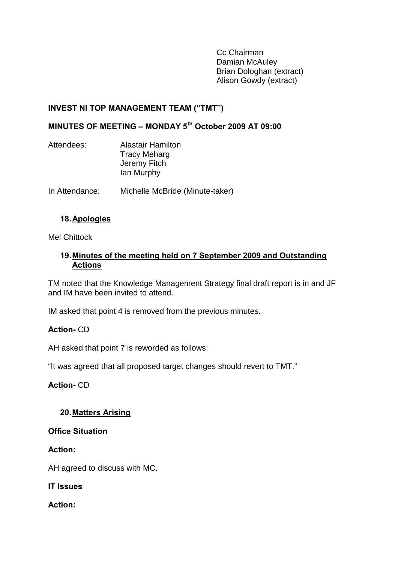Cc Chairman Damian McAuley Brian Dologhan (extract) Alison Gowdy (extract)

### <span id="page-30-0"></span>**INVEST NI TOP MANAGEMENT TEAM ("TMT")**

## **MINUTES OF MEETING – MONDAY 5th October 2009 AT 09:00**

| Attendees: | <b>Alastair Hamilton</b> |  |
|------------|--------------------------|--|
|            | <b>Tracy Meharg</b>      |  |
|            | Jeremy Fitch             |  |
|            | lan Murphy               |  |
|            |                          |  |

In Attendance: Michelle McBride (Minute-taker)

#### **18.Apologies**

Mel Chittock

#### **19.Minutes of the meeting held on 7 September 2009 and Outstanding Actions**

TM noted that the Knowledge Management Strategy final draft report is in and JF and IM have been invited to attend.

IM asked that point 4 is removed from the previous minutes.

#### **Action-** CD

AH asked that point 7 is reworded as follows:

"It was agreed that all proposed target changes should revert to TMT."

**Action-** CD

#### **20.Matters Arising**

**Office Situation**

**Action:**

AH agreed to discuss with MC.

**IT Issues** 

**Action:**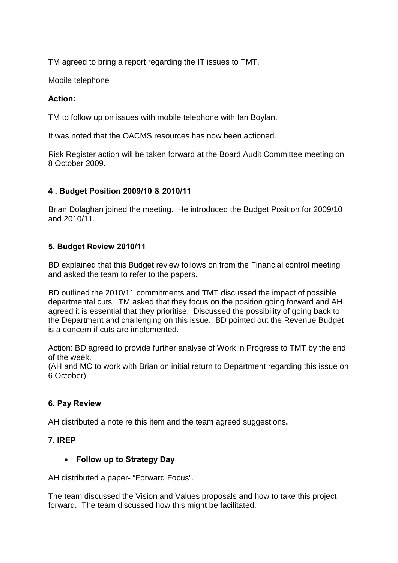TM agreed to bring a report regarding the IT issues to TMT.

Mobile telephone

## **Action:**

TM to follow up on issues with mobile telephone with Ian Boylan.

It was noted that the OACMS resources has now been actioned.

Risk Register action will be taken forward at the Board Audit Committee meeting on 8 October 2009.

### **4 . Budget Position 2009/10 & 2010/11**

Brian Dolaghan joined the meeting. He introduced the Budget Position for 2009/10 and 2010/11.

### **5. Budget Review 2010/11**

BD explained that this Budget review follows on from the Financial control meeting and asked the team to refer to the papers.

BD outlined the 2010/11 commitments and TMT discussed the impact of possible departmental cuts. TM asked that they focus on the position going forward and AH agreed it is essential that they prioritise. Discussed the possibility of going back to the Department and challenging on this issue. BD pointed out the Revenue Budget is a concern if cuts are implemented.

Action: BD agreed to provide further analyse of Work in Progress to TMT by the end of the week.

(AH and MC to work with Brian on initial return to Department regarding this issue on 6 October).

### **6. Pay Review**

AH distributed a note re this item and the team agreed suggestions**.** 

### **7. IREP**

# • **Follow up to Strategy Day**

AH distributed a paper- "Forward Focus".

The team discussed the Vision and Values proposals and how to take this project forward. The team discussed how this might be facilitated.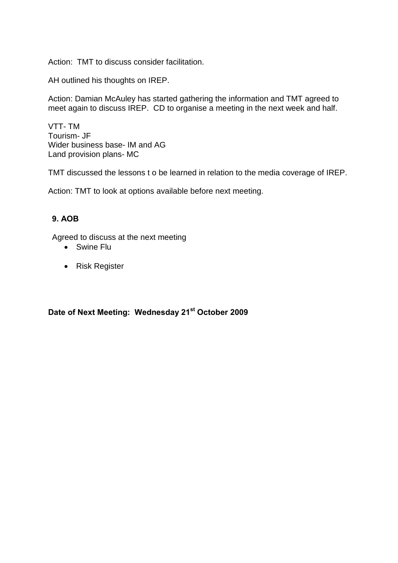Action: TMT to discuss consider facilitation.

AH outlined his thoughts on IREP.

Action: Damian McAuley has started gathering the information and TMT agreed to meet again to discuss IREP. CD to organise a meeting in the next week and half.

VTT- TM Tourism- JF Wider business base- IM and AG Land provision plans- MC

TMT discussed the lessons t o be learned in relation to the media coverage of IREP.

Action: TMT to look at options available before next meeting.

### **9. AOB**

Agreed to discuss at the next meeting

- Swine Flu
- Risk Register

# **Date of Next Meeting: Wednesday 21st October 2009**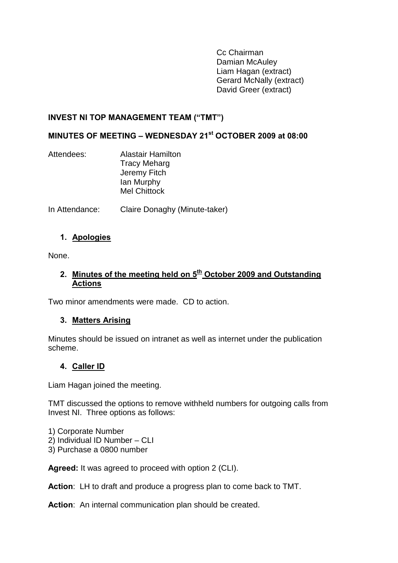Cc Chairman Damian McAuley Liam Hagan (extract) Gerard McNally (extract) David Greer (extract)

#### **INVEST NI TOP MANAGEMENT TEAM ("TMT")**

#### **MINUTES OF MEETING – WEDNESDAY 21st OCTOBER 2009 at 08:00**

| Attendees: | <b>Alastair Hamilton</b> |
|------------|--------------------------|
|            | <b>Tracy Meharg</b>      |
|            | Jeremy Fitch             |
|            | lan Murphy               |
|            | <b>Mel Chittock</b>      |
|            |                          |

In Attendance: Claire Donaghy (Minute-taker)

#### **1. Apologies**

None.

#### **2. Minutes of the meeting held on 5th October 2009 and Outstanding Actions**

Two minor amendments were made. CD to action.

#### **3. Matters Arising**

Minutes should be issued on intranet as well as internet under the publication scheme.

### **4. Caller ID**

Liam Hagan joined the meeting.

TMT discussed the options to remove withheld numbers for outgoing calls from Invest NI. Three options as follows:

1) Corporate Number 2) Individual ID Number – CLI

3) Purchase a 0800 number

**Agreed:** It was agreed to proceed with option 2 (CLI).

**Action**: LH to draft and produce a progress plan to come back to TMT.

**Action**: An internal communication plan should be created.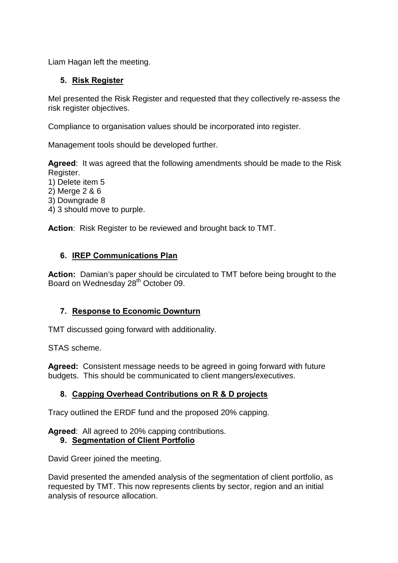Liam Hagan left the meeting.

### **5. Risk Register**

Mel presented the Risk Register and requested that they collectively re-assess the risk register objectives.

Compliance to organisation values should be incorporated into register.

Management tools should be developed further.

**Agreed**: It was agreed that the following amendments should be made to the Risk Register.

- 1) Delete item 5
- 2) Merge 2 & 6
- 3) Downgrade 8
- 4) 3 should move to purple.

**Action**: Risk Register to be reviewed and brought back to TMT.

### **6. IREP Communications Plan**

**Action:** Damian's paper should be circulated to TMT before being brought to the Board on Wednesday 28<sup>th</sup> October 09.

### **7. Response to Economic Downturn**

TMT discussed going forward with additionality.

STAS scheme.

**Agreed:** Consistent message needs to be agreed in going forward with future budgets. This should be communicated to client mangers/executives.

### **8. Capping Overhead Contributions on R & D projects**

Tracy outlined the ERDF fund and the proposed 20% capping.

**Agreed**: All agreed to 20% capping contributions.

### **9. Segmentation of Client Portfolio**

David Greer joined the meeting.

David presented the amended analysis of the segmentation of client portfolio, as requested by TMT. This now represents clients by sector, region and an initial analysis of resource allocation.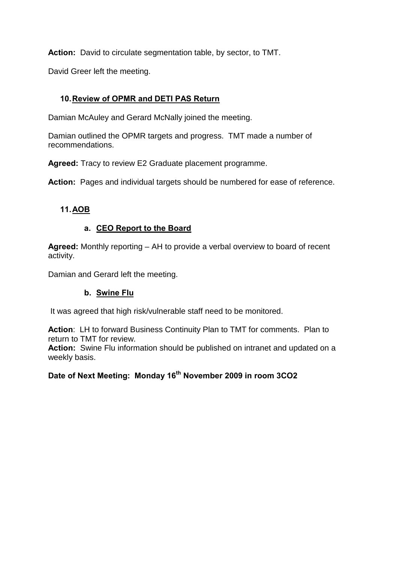**Action:** David to circulate segmentation table, by sector, to TMT.

David Greer left the meeting.

## **10.Review of OPMR and DETI PAS Return**

Damian McAuley and Gerard McNally joined the meeting.

Damian outlined the OPMR targets and progress. TMT made a number of recommendations.

**Agreed:** Tracy to review E2 Graduate placement programme.

**Action:** Pages and individual targets should be numbered for ease of reference.

### **11.AOB**

### **a. CEO Report to the Board**

**Agreed:** Monthly reporting – AH to provide a verbal overview to board of recent activity.

Damian and Gerard left the meeting.

### **b. Swine Flu**

It was agreed that high risk/vulnerable staff need to be monitored.

**Action**: LH to forward Business Continuity Plan to TMT for comments. Plan to return to TMT for review.

**Action:** Swine Flu information should be published on intranet and updated on a weekly basis.

# **Date of Next Meeting: Monday 16th November 2009 in room 3CO2**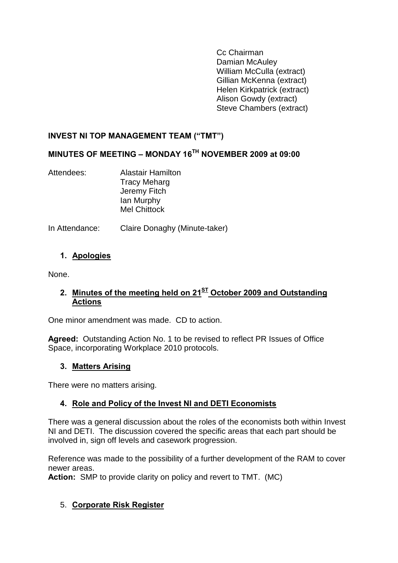Cc Chairman Damian McAuley William McCulla (extract) Gillian McKenna (extract) Helen Kirkpatrick (extract) Alison Gowdy (extract) Steve Chambers (extract)

## <span id="page-36-0"></span>**INVEST NI TOP MANAGEMENT TEAM ("TMT")**

# **MINUTES OF MEETING – MONDAY 16TH NOVEMBER 2009 at 09:00**

Attendees: Alastair Hamilton Tracy Meharg Jeremy Fitch Ian Murphy Mel Chittock

In Attendance: Claire Donaghy (Minute-taker)

### **1. Apologies**

None.

### **2. Minutes of the meeting held on 21ST October 2009 and Outstanding Actions**

One minor amendment was made. CD to action.

**Agreed:** Outstanding Action No. 1 to be revised to reflect PR Issues of Office Space, incorporating Workplace 2010 protocols.

### **3. Matters Arising**

There were no matters arising.

### **4. Role and Policy of the Invest NI and DETI Economists**

There was a general discussion about the roles of the economists both within Invest NI and DETI. The discussion covered the specific areas that each part should be involved in, sign off levels and casework progression.

Reference was made to the possibility of a further development of the RAM to cover newer areas.

**Action:** SMP to provide clarity on policy and revert to TMT. (MC)

### 5. **Corporate Risk Register**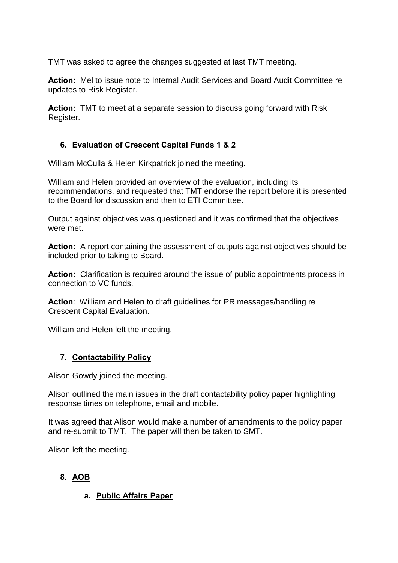TMT was asked to agree the changes suggested at last TMT meeting.

**Action:** Mel to issue note to Internal Audit Services and Board Audit Committee re updates to Risk Register.

**Action:** TMT to meet at a separate session to discuss going forward with Risk Register.

# **6. Evaluation of Crescent Capital Funds 1 & 2**

William McCulla & Helen Kirkpatrick joined the meeting.

William and Helen provided an overview of the evaluation, including its recommendations, and requested that TMT endorse the report before it is presented to the Board for discussion and then to ETI Committee.

Output against objectives was questioned and it was confirmed that the objectives were met.

**Action:** A report containing the assessment of outputs against objectives should be included prior to taking to Board.

**Action:** Clarification is required around the issue of public appointments process in connection to VC funds.

**Action**: William and Helen to draft guidelines for PR messages/handling re Crescent Capital Evaluation.

William and Helen left the meeting.

# **7. Contactability Policy**

Alison Gowdy joined the meeting.

Alison outlined the main issues in the draft contactability policy paper highlighting response times on telephone, email and mobile.

It was agreed that Alison would make a number of amendments to the policy paper and re-submit to TMT. The paper will then be taken to SMT.

Alison left the meeting.

# **8. AOB**

# **a. Public Affairs Paper**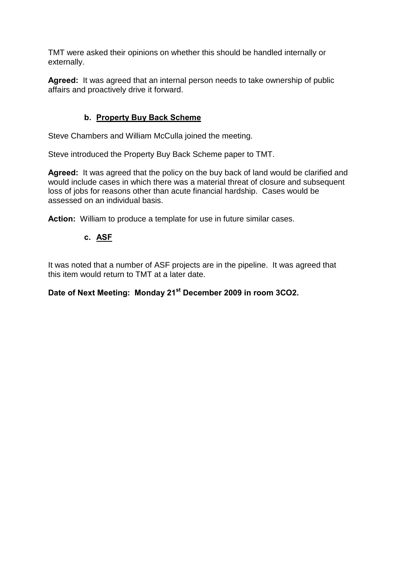TMT were asked their opinions on whether this should be handled internally or externally.

**Agreed:** It was agreed that an internal person needs to take ownership of public affairs and proactively drive it forward.

### **b. Property Buy Back Scheme**

Steve Chambers and William McCulla joined the meeting.

Steve introduced the Property Buy Back Scheme paper to TMT.

**Agreed:** It was agreed that the policy on the buy back of land would be clarified and would include cases in which there was a material threat of closure and subsequent loss of jobs for reasons other than acute financial hardship. Cases would be assessed on an individual basis.

**Action:** William to produce a template for use in future similar cases.

### **c. ASF**

It was noted that a number of ASF projects are in the pipeline. It was agreed that this item would return to TMT at a later date.

**Date of Next Meeting: Monday 21st December 2009 in room 3CO2.**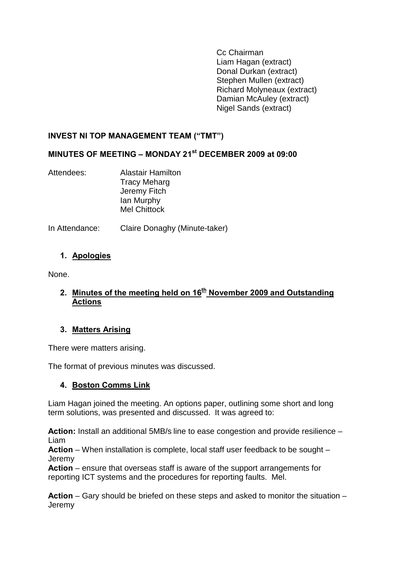Cc Chairman Liam Hagan (extract) Donal Durkan (extract) Stephen Mullen (extract) Richard Molyneaux (extract) Damian McAuley (extract) Nigel Sands (extract)

### <span id="page-39-0"></span>**INVEST NI TOP MANAGEMENT TEAM ("TMT")**

#### **MINUTES OF MEETING – MONDAY 21st DECEMBER 2009 at 09:00**

Attendees: Alastair Hamilton Tracy Meharg Jeremy Fitch Ian Murphy Mel Chittock

In Attendance: Claire Donaghy (Minute-taker)

### **1. Apologies**

None.

### **2. Minutes of the meeting held on 16th November 2009 and Outstanding Actions**

#### **3. Matters Arising**

There were matters arising.

The format of previous minutes was discussed.

### **4. Boston Comms Link**

Liam Hagan joined the meeting. An options paper, outlining some short and long term solutions, was presented and discussed. It was agreed to:

**Action:** Install an additional 5MB/s line to ease congestion and provide resilience – Liam

**Action** – When installation is complete, local staff user feedback to be sought – **Jeremy** 

**Action** – ensure that overseas staff is aware of the support arrangements for reporting ICT systems and the procedures for reporting faults. Mel.

**Action** – Gary should be briefed on these steps and asked to monitor the situation – **Jeremy**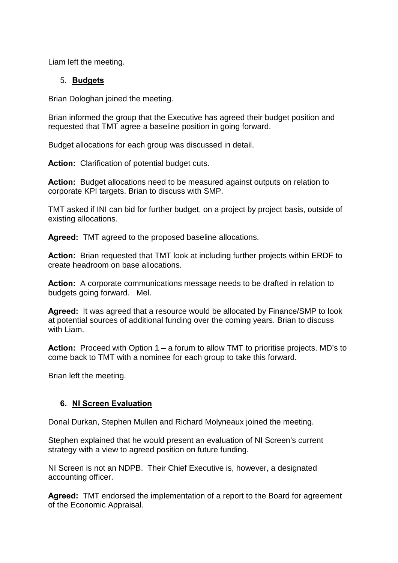Liam left the meeting.

#### 5. **Budgets**

Brian Dologhan joined the meeting.

Brian informed the group that the Executive has agreed their budget position and requested that TMT agree a baseline position in going forward.

Budget allocations for each group was discussed in detail.

**Action:** Clarification of potential budget cuts.

**Action:** Budget allocations need to be measured against outputs on relation to corporate KPI targets. Brian to discuss with SMP.

TMT asked if INI can bid for further budget, on a project by project basis, outside of existing allocations.

**Agreed:** TMT agreed to the proposed baseline allocations.

**Action:** Brian requested that TMT look at including further projects within ERDF to create headroom on base allocations.

**Action:** A corporate communications message needs to be drafted in relation to budgets going forward. Mel.

**Agreed:** It was agreed that a resource would be allocated by Finance/SMP to look at potential sources of additional funding over the coming years. Brian to discuss with Liam.

**Action:** Proceed with Option 1 – a forum to allow TMT to prioritise projects. MD's to come back to TMT with a nominee for each group to take this forward.

Brian left the meeting.

#### **6. NI Screen Evaluation**

Donal Durkan, Stephen Mullen and Richard Molyneaux joined the meeting.

Stephen explained that he would present an evaluation of NI Screen's current strategy with a view to agreed position on future funding.

NI Screen is not an NDPB. Their Chief Executive is, however, a designated accounting officer.

**Agreed:** TMT endorsed the implementation of a report to the Board for agreement of the Economic Appraisal.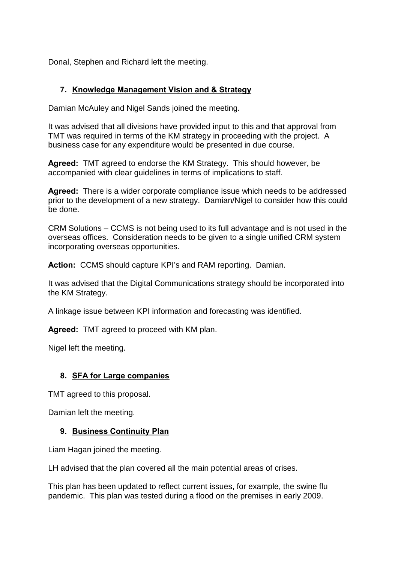Donal, Stephen and Richard left the meeting.

#### **7. Knowledge Management Vision and & Strategy**

Damian McAuley and Nigel Sands joined the meeting.

It was advised that all divisions have provided input to this and that approval from TMT was required in terms of the KM strategy in proceeding with the project. A business case for any expenditure would be presented in due course.

**Agreed:** TMT agreed to endorse the KM Strategy. This should however, be accompanied with clear guidelines in terms of implications to staff.

**Agreed:** There is a wider corporate compliance issue which needs to be addressed prior to the development of a new strategy. Damian/Nigel to consider how this could be done.

CRM Solutions – CCMS is not being used to its full advantage and is not used in the overseas offices. Consideration needs to be given to a single unified CRM system incorporating overseas opportunities.

**Action:** CCMS should capture KPI's and RAM reporting. Damian.

It was advised that the Digital Communications strategy should be incorporated into the KM Strategy.

A linkage issue between KPI information and forecasting was identified.

**Agreed:** TMT agreed to proceed with KM plan.

Nigel left the meeting.

#### **8. SFA for Large companies**

TMT agreed to this proposal.

Damian left the meeting.

#### **9. Business Continuity Plan**

Liam Hagan joined the meeting.

LH advised that the plan covered all the main potential areas of crises.

This plan has been updated to reflect current issues, for example, the swine flu pandemic. This plan was tested during a flood on the premises in early 2009.